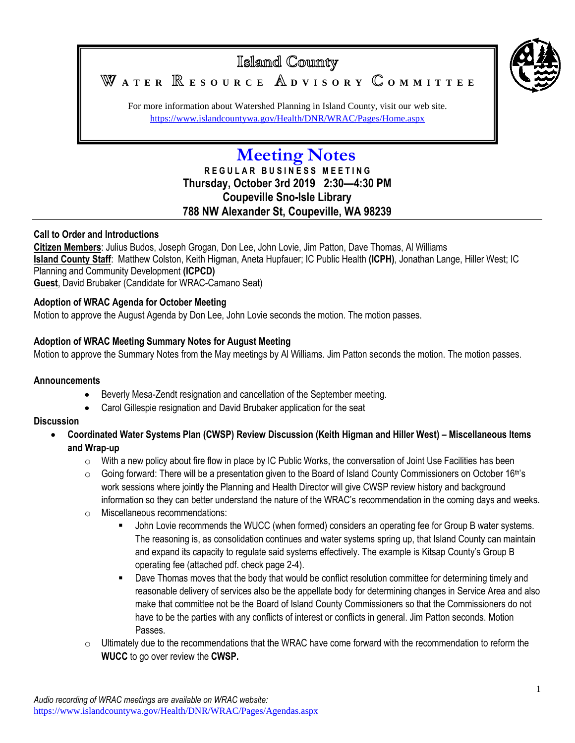

For more information about Watershed Planning in Island County, visit our web site. <https://www.islandcountywa.gov/Health/DNR/WRAC/Pages/Home.aspx>

# **Meeting Notes**

**R E G U L A R B U S I N E S S M E E T I N G Thursday, October 3rd 2019 2:30—4:30 PM Coupeville Sno-Isle Library 788 NW Alexander St, Coupeville, WA 98239**

# **Call to Order and Introductions**

**Citizen Members**: Julius Budos, Joseph Grogan, Don Lee, John Lovie, Jim Patton, Dave Thomas, Al Williams **Island County Staff**: Matthew Colston, Keith Higman, Aneta Hupfauer; IC Public Health **(ICPH)**, Jonathan Lange, Hiller West; IC Planning and Community Development **(ICPCD) Guest**, David Brubaker (Candidate for WRAC-Camano Seat)

## **Adoption of WRAC Agenda for October Meeting**

Motion to approve the August Agenda by Don Lee, John Lovie seconds the motion. The motion passes.

# **Adoption of WRAC Meeting Summary Notes for August Meeting**

Motion to approve the Summary Notes from the May meetings by Al Williams. Jim Patton seconds the motion. The motion passes.

#### **Announcements**

- Beverly Mesa-Zendt resignation and cancellation of the September meeting.
- Carol Gillespie resignation and David Brubaker application for the seat

## **Discussion**

- **Coordinated Water Systems Plan (CWSP) Review Discussion (Keith Higman and Hiller West) – Miscellaneous Items and Wrap-up**
	- $\circ$  With a new policy about fire flow in place by IC Public Works, the conversation of Joint Use Facilities has been
	- $\circ$  Going forward: There will be a presentation given to the Board of Island County Commissioners on October 16<sup>th'</sup>s work sessions where jointly the Planning and Health Director will give CWSP review history and background information so they can better understand the nature of the WRAC's recommendation in the coming days and weeks.
	- o Miscellaneous recommendations:
		- John Lovie recommends the WUCC (when formed) considers an operating fee for Group B water systems. The reasoning is, as consolidation continues and water systems spring up, that Island County can maintain and expand its capacity to regulate said systems effectively. The example is Kitsap County's Group B operating fee (attached pdf. check page 2-4).
		- Dave Thomas moves that the body that would be conflict resolution committee for determining timely and reasonable delivery of services also be the appellate body for determining changes in Service Area and also make that committee not be the Board of Island County Commissioners so that the Commissioners do not have to be the parties with any conflicts of interest or conflicts in general. Jim Patton seconds. Motion Passes.
	- $\circ$  Ultimately due to the recommendations that the WRAC have come forward with the recommendation to reform the **WUCC** to go over review the **CWSP.**